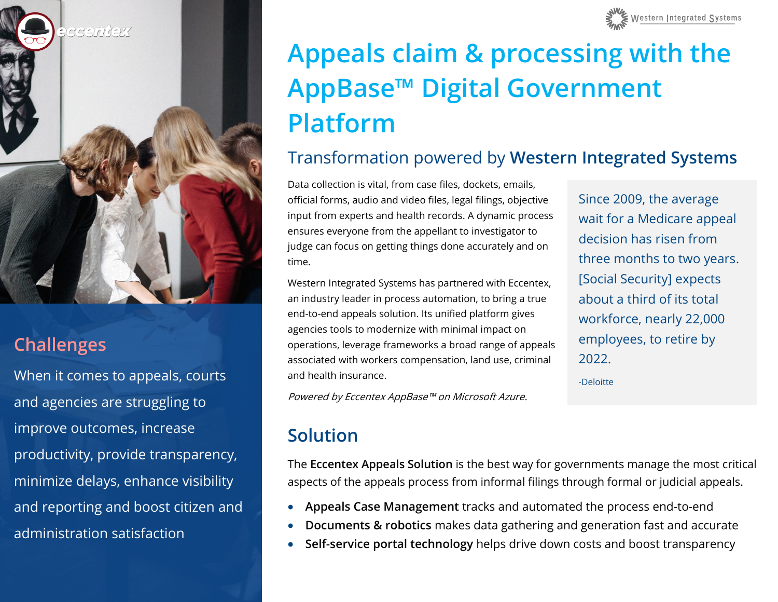

#### **Challenges**

When it comes to appeals, courts and agencies are struggling to improve outcomes, increase productivity, provide transparency, minimize delays, enhance visibility and reporting and boost citizen and administration satisfaction



# **Appeals claim & processing with the AppBase™ Digital Government Platform**

#### Transformation powered by **Western Integrated Systems**

Data collection is vital, from case files, dockets, emails, official forms, audio and video files, legal filings, objective input from experts and health records. A dynamic process ensures everyone from the appellant to investigator to judge can focus on getting things done accurately and on time.

Western Integrated Systems has partnered with Eccentex, an industry leader in process automation, to bring a true end-to-end appeals solution. Its unified platform gives agencies tools to modernize with minimal impact on operations, leverage frameworks a broad range of appeals associated with workers compensation, land use, criminal and health insurance.

Since 2009, the average wait for a Medicare appeal decision has risen from three months to two years. [Social Security] expects about a third of its total workforce, nearly 22,000 employees, to retire by 2022.

-Deloitte

Powered by Eccentex AppBase™ on Microsoft Azure.

### **Solution**

The **Eccentex Appeals Solution** is the best way for governments manage the most critical aspects of the appeals process from informal filings through formal or judicial appeals.

- **Appeals Case Management** tracks and automated the process end-to-end
- **Documents & robotics** makes data gathering and generation fast and accurate
- **Self-service portal technology** helps drive down costs and boost transparency